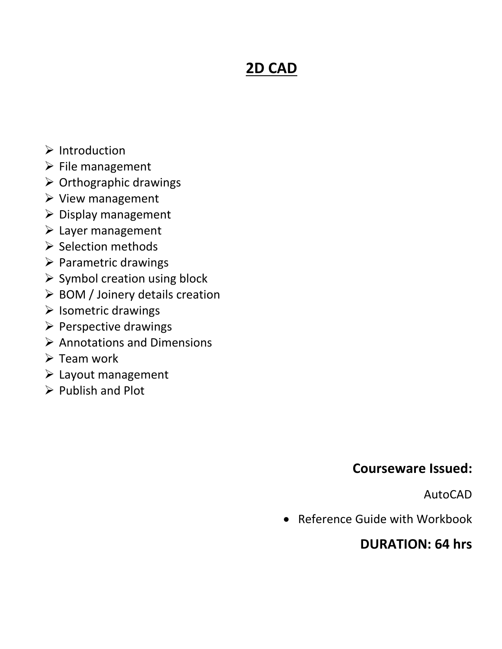## **2D CAD**

- $\triangleright$  Introduction
- $\triangleright$  File management
- $\triangleright$  Orthographic drawings
- $\triangleright$  View management
- $\triangleright$  Display management
- $\triangleright$  Layer management
- $\triangleright$  Selection methods
- $\triangleright$  Parametric drawings
- $\triangleright$  Symbol creation using block
- $\triangleright$  BOM / Joinery details creation
- $\triangleright$  Isometric drawings
- $\triangleright$  Perspective drawings
- $\triangleright$  Annotations and Dimensions
- $\triangleright$  Team work
- $\triangleright$  Layout management
- $\triangleright$  Publish and Plot

### **Courseware Issued:**

AutoCAD

Reference Guide with Workbook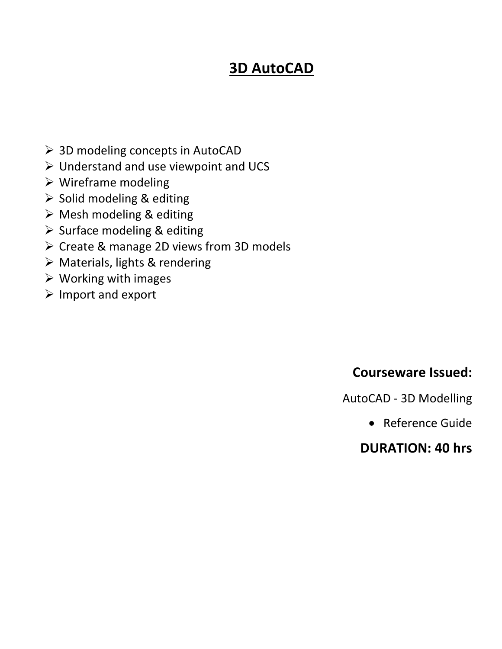## **3D AutoCAD**

- 3D modeling concepts in AutoCAD
- $\triangleright$  Understand and use viewpoint and UCS
- $\triangleright$  Wireframe modeling
- $\triangleright$  Solid modeling & editing
- $\triangleright$  Mesh modeling & editing
- $\triangleright$  Surface modeling & editing
- $\triangleright$  Create & manage 2D views from 3D models
- $\triangleright$  Materials, lights & rendering
- $\triangleright$  Working with images
- $\triangleright$  Import and export

### **Courseware Issued:**

AutoCAD - 3D Modelling

Reference Guide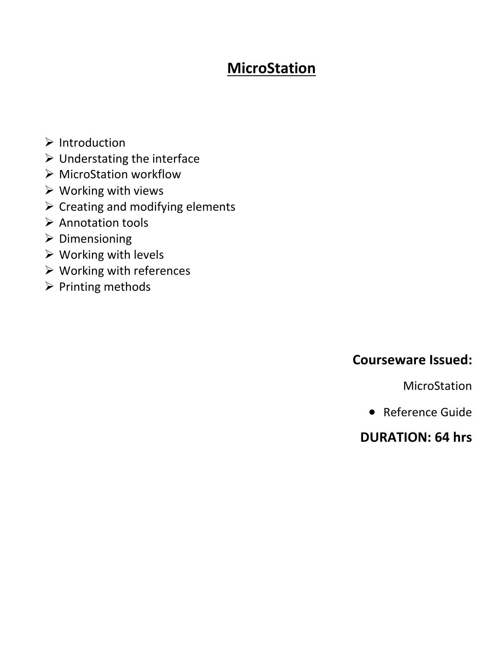## **MicroStation**

- $\triangleright$  Introduction
- $\triangleright$  Understating the interface
- MicroStation workflow
- $\triangleright$  Working with views
- $\triangleright$  Creating and modifying elements
- $\triangleright$  Annotation tools
- $\triangleright$  Dimensioning
- $\triangleright$  Working with levels
- $\triangleright$  Working with references
- $\triangleright$  Printing methods

#### **Courseware Issued:**

MicroStation

Reference Guide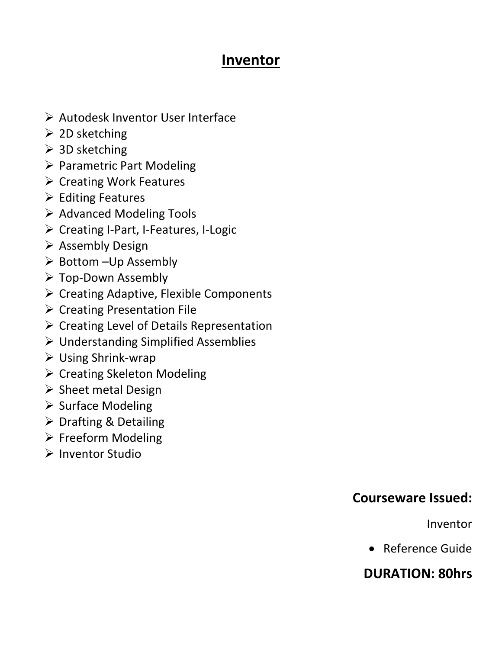### **Inventor**

- Autodesk Inventor User Interface
- $\geqslant$  2D sketching
- $\geq$  3D sketching
- $\triangleright$  Parametric Part Modeling
- $\triangleright$  Creating Work Features
- $\triangleright$  Editing Features
- $\triangleright$  Advanced Modeling Tools
- $\triangleright$  Creating I-Part, I-Features, I-Logic
- $\triangleright$  Assembly Design
- $\triangleright$  Bottom –Up Assembly
- Top-Down Assembly
- $\triangleright$  Creating Adaptive, Flexible Components
- $\triangleright$  Creating Presentation File
- $\triangleright$  Creating Level of Details Representation
- Understanding Simplified Assemblies
- Using Shrink-wrap
- $\triangleright$  Creating Skeleton Modeling
- $\triangleright$  Sheet metal Design
- $\triangleright$  Surface Modeling
- $\triangleright$  Drafting & Detailing
- $\triangleright$  Freeform Modeling
- $\triangleright$  Inventor Studio

### **Courseware Issued:**

Inventor

• Reference Guide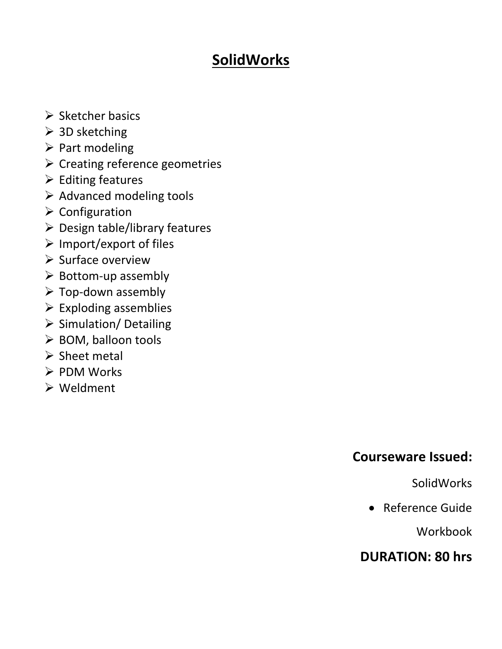## **SolidWorks**

- $\triangleright$  Sketcher basics
- $\geq$  3D sketching
- $\triangleright$  Part modeling
- $\triangleright$  Creating reference geometries
- $\triangleright$  Editing features
- $\triangleright$  Advanced modeling tools
- $\triangleright$  Configuration
- $\triangleright$  Design table/library features
- $\triangleright$  Import/export of files
- $\triangleright$  Surface overview
- $\triangleright$  Bottom-up assembly
- $\triangleright$  Top-down assembly
- $\triangleright$  Exploding assemblies
- $\triangleright$  Simulation/ Detailing
- $\triangleright$  BOM, balloon tools
- $\triangleright$  Sheet metal
- $\triangleright$  PDM Works
- Weldment

### **Courseware Issued:**

SolidWorks

Reference Guide

Workbook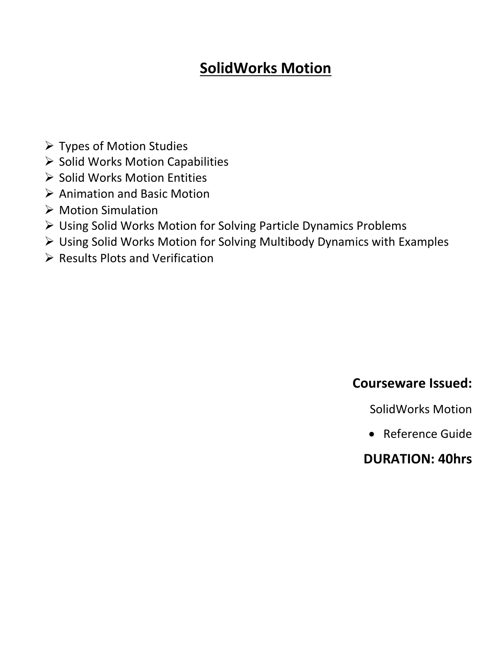## **SolidWorks Motion**

- Types of Motion Studies
- $\triangleright$  Solid Works Motion Capabilities
- $\triangleright$  Solid Works Motion Entities
- $\triangleright$  Animation and Basic Motion
- ▶ Motion Simulation
- Using Solid Works Motion for Solving Particle Dynamics Problems
- Using Solid Works Motion for Solving Multibody Dynamics with Examples
- $\triangleright$  Results Plots and Verification

### **Courseware Issued:**

SolidWorks Motion

Reference Guide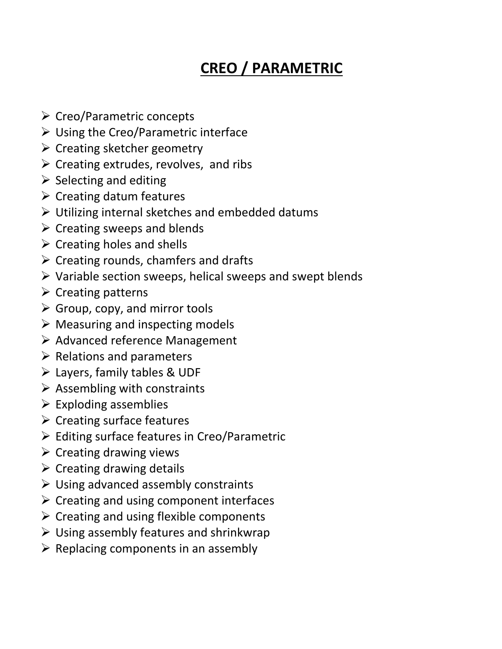# **CREO / PARAMETRIC**

- $\triangleright$  Creo/Parametric concepts
- $\triangleright$  Using the Creo/Parametric interface
- $\triangleright$  Creating sketcher geometry
- $\triangleright$  Creating extrudes, revolves, and ribs
- $\triangleright$  Selecting and editing
- $\triangleright$  Creating datum features
- $\triangleright$  Utilizing internal sketches and embedded datums
- $\triangleright$  Creating sweeps and blends
- $\triangleright$  Creating holes and shells
- $\triangleright$  Creating rounds, chamfers and drafts
- $\triangleright$  Variable section sweeps, helical sweeps and swept blends
- $\triangleright$  Creating patterns
- $\triangleright$  Group, copy, and mirror tools
- $\triangleright$  Measuring and inspecting models
- $\triangleright$  Advanced reference Management
- $\triangleright$  Relations and parameters
- Layers, family tables & UDF
- $\triangleright$  Assembling with constraints
- $\triangleright$  Exploding assemblies
- $\triangleright$  Creating surface features
- $\triangleright$  Editing surface features in Creo/Parametric
- $\triangleright$  Creating drawing views
- $\triangleright$  Creating drawing details
- $\triangleright$  Using advanced assembly constraints
- $\triangleright$  Creating and using component interfaces
- $\triangleright$  Creating and using flexible components
- $\triangleright$  Using assembly features and shrinkwrap
- $\triangleright$  Replacing components in an assembly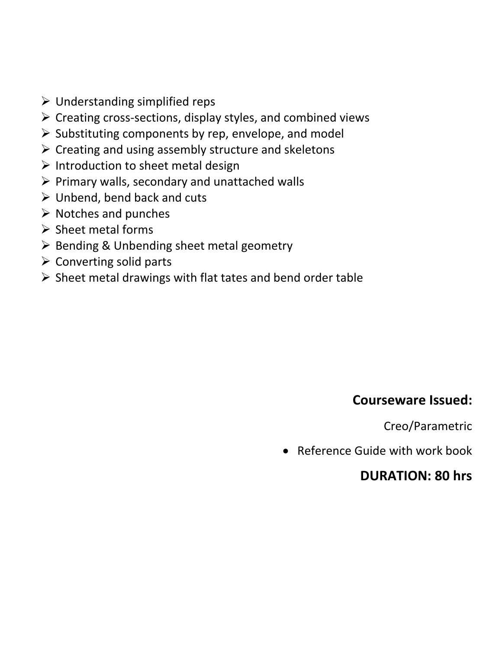- $\triangleright$  Understanding simplified reps
- $\triangleright$  Creating cross-sections, display styles, and combined views
- $\triangleright$  Substituting components by rep, envelope, and model
- $\triangleright$  Creating and using assembly structure and skeletons
- $\triangleright$  Introduction to sheet metal design
- $\triangleright$  Primary walls, secondary and unattached walls
- $\triangleright$  Unbend, bend back and cuts
- $\triangleright$  Notches and punches
- $\triangleright$  Sheet metal forms
- $\triangleright$  Bending & Unbending sheet metal geometry
- $\triangleright$  Converting solid parts
- $\triangleright$  Sheet metal drawings with flat tates and bend order table

#### **Courseware Issued:**

Creo/Parametric

• Reference Guide with work book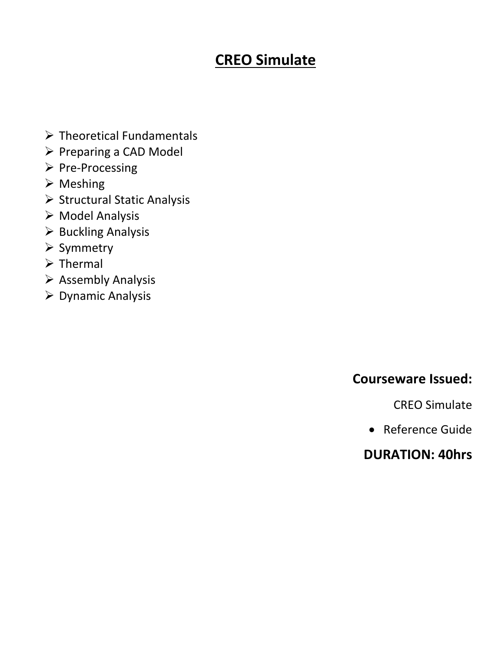## **CREO Simulate**

- $\triangleright$  Theoretical Fundamentals
- $\triangleright$  Preparing a CAD Model
- $\triangleright$  Pre-Processing
- $\triangleright$  Meshing
- $\triangleright$  Structural Static Analysis
- $\triangleright$  Model Analysis
- $\triangleright$  Buckling Analysis
- $\triangleright$  Symmetry
- $\triangleright$  Thermal
- $\triangleright$  Assembly Analysis
- Dynamic Analysis

### **Courseware Issued:**

CREO Simulate

Reference Guide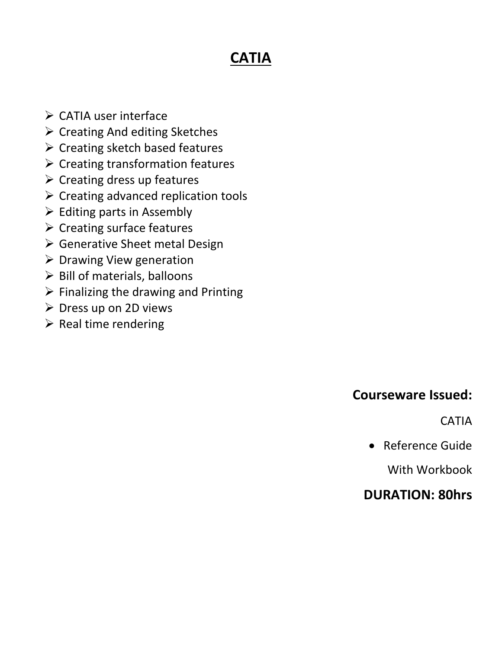# **CATIA**

- $\triangleright$  CATIA user interface
- $\triangleright$  Creating And editing Sketches
- $\triangleright$  Creating sketch based features
- $\triangleright$  Creating transformation features
- $\triangleright$  Creating dress up features
- $\triangleright$  Creating advanced replication tools
- $\triangleright$  Editing parts in Assembly
- $\triangleright$  Creating surface features
- $\triangleright$  Generative Sheet metal Design
- $\triangleright$  Drawing View generation
- $\triangleright$  Bill of materials, balloons
- $\triangleright$  Finalizing the drawing and Printing
- $\triangleright$  Dress up on 2D views
- $\triangleright$  Real time rendering

### **Courseware Issued:**

CATIA

Reference Guide

With Workbook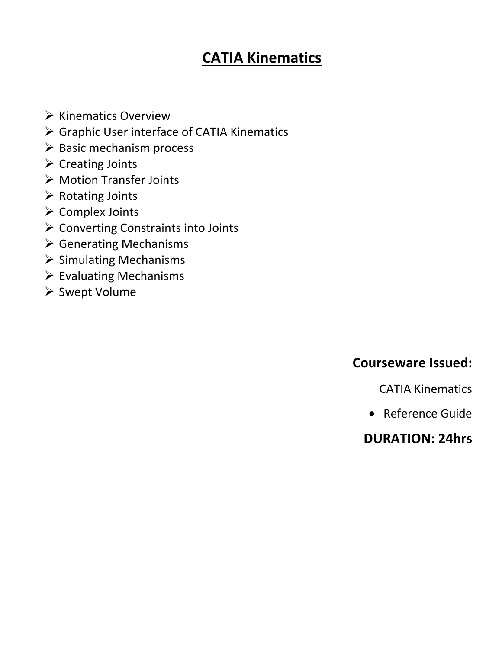## **CATIA Kinematics**

- $\triangleright$  Kinematics Overview
- Graphic User interface of CATIA Kinematics
- $\triangleright$  Basic mechanism process
- $\triangleright$  Creating Joints
- Motion Transfer Joints
- $\triangleright$  Rotating Joints
- Complex Joints
- **≻ Converting Constraints into Joints**
- Generating Mechanisms
- $\triangleright$  Simulating Mechanisms
- $\triangleright$  Evaluating Mechanisms
- ▶ Swept Volume

### **Courseware Issued:**

CATIA Kinematics

Reference Guide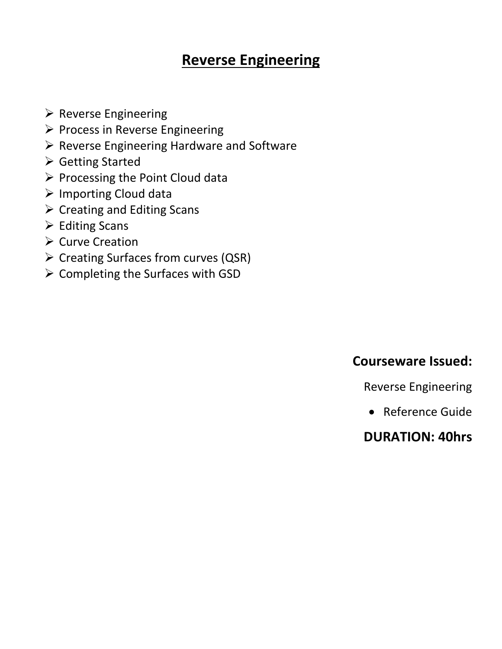### **Reverse Engineering**

- $\triangleright$  Reverse Engineering
- $\triangleright$  Process in Reverse Engineering
- $\triangleright$  Reverse Engineering Hardware and Software
- Getting Started
- $\triangleright$  Processing the Point Cloud data
- Importing Cloud data
- $\triangleright$  Creating and Editing Scans
- $\triangleright$  Editing Scans
- $\triangleright$  Curve Creation
- Creating Surfaces from curves (QSR)
- $\triangleright$  Completing the Surfaces with GSD

### **Courseware Issued:**

Reverse Engineering

Reference Guide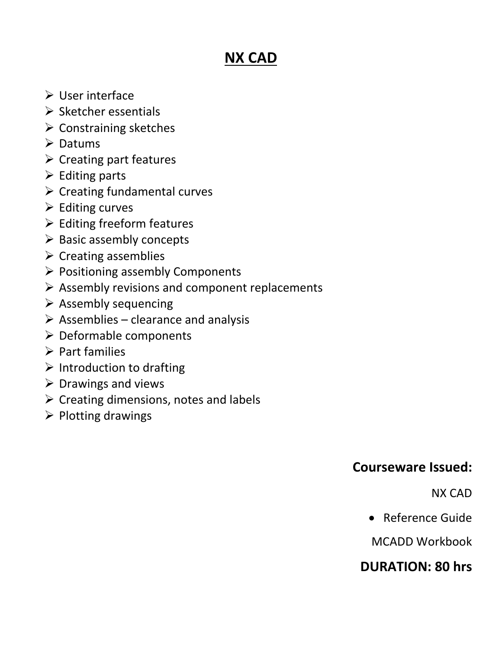# **NX CAD**

- User interface
- $\triangleright$  Sketcher essentials
- $\triangleright$  Constraining sketches
- **► Datums**
- $\triangleright$  Creating part features
- $\triangleright$  Editing parts
- $\triangleright$  Creating fundamental curves
- $\triangleright$  Editing curves
- $\triangleright$  Editing freeform features
- $\triangleright$  Basic assembly concepts
- $\triangleright$  Creating assemblies
- $\triangleright$  Positioning assembly Components
- $\triangleright$  Assembly revisions and component replacements
- $\triangleright$  Assembly sequencing
- $\triangleright$  Assemblies clearance and analysis
- $\triangleright$  Deformable components
- $\triangleright$  Part families
- $\triangleright$  Introduction to drafting
- $\triangleright$  Drawings and views
- $\triangleright$  Creating dimensions, notes and labels
- $\triangleright$  Plotting drawings

### **Courseware Issued:**

NX CAD

Reference Guide

MCADD Workbook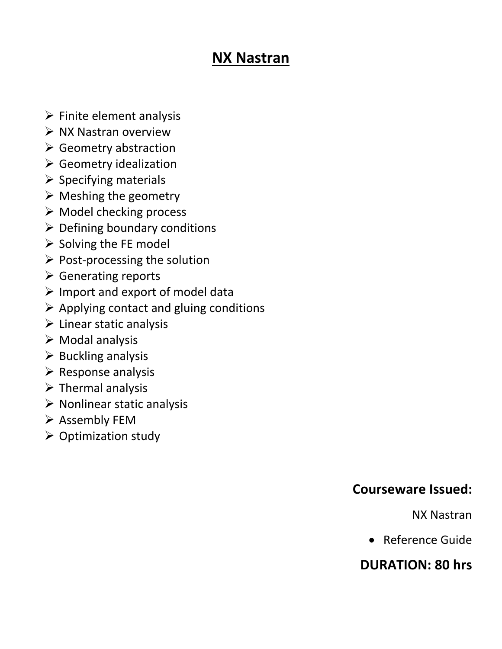### **NX Nastran**

- $\triangleright$  Finite element analysis
- $\triangleright$  NX Nastran overview
- $\triangleright$  Geometry abstraction
- Geometry idealization
- $\triangleright$  Specifying materials
- $\triangleright$  Meshing the geometry
- $\triangleright$  Model checking process
- $\triangleright$  Defining boundary conditions
- $\triangleright$  Solving the FE model
- $\triangleright$  Post-processing the solution
- $\triangleright$  Generating reports
- $\triangleright$  Import and export of model data
- $\triangleright$  Applying contact and gluing conditions
- $\triangleright$  Linear static analysis
- $\triangleright$  Modal analysis
- $\triangleright$  Buckling analysis
- $\triangleright$  Response analysis
- $\triangleright$  Thermal analysis
- $\triangleright$  Nonlinear static analysis
- $\triangleright$  Assembly FEM
- $\triangleright$  Optimization study

#### **Courseware Issued:**

NX Nastran

Reference Guide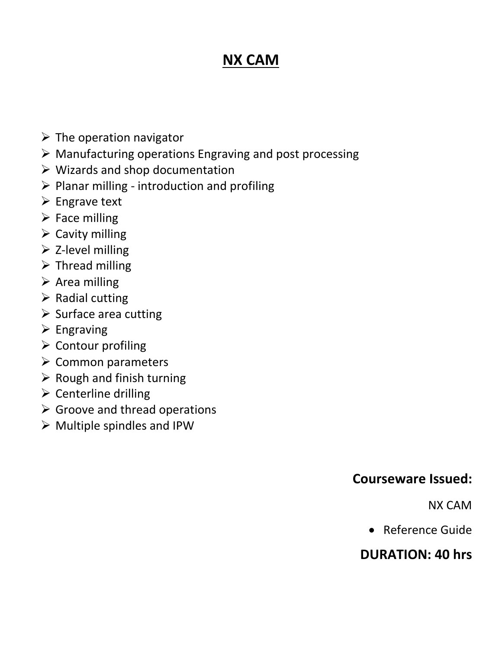## **NX CAM**

- $\triangleright$  The operation navigator
- $\triangleright$  Manufacturing operations Engraving and post processing
- $\triangleright$  Wizards and shop documentation
- $\triangleright$  Planar milling introduction and profiling
- $\triangleright$  Engrave text
- $\triangleright$  Face milling
- $\triangleright$  Cavity milling
- $\triangleright$  Z-level milling
- $\triangleright$  Thread milling
- $\triangleright$  Area milling
- $\triangleright$  Radial cutting
- $\triangleright$  Surface area cutting
- $\triangleright$  Engraving
- $\triangleright$  Contour profiling
- $\triangleright$  Common parameters
- $\triangleright$  Rough and finish turning
- $\triangleright$  Centerline drilling
- $\triangleright$  Groove and thread operations
- $\triangleright$  Multiple spindles and IPW

#### **Courseware Issued:**

NX CAM

Reference Guide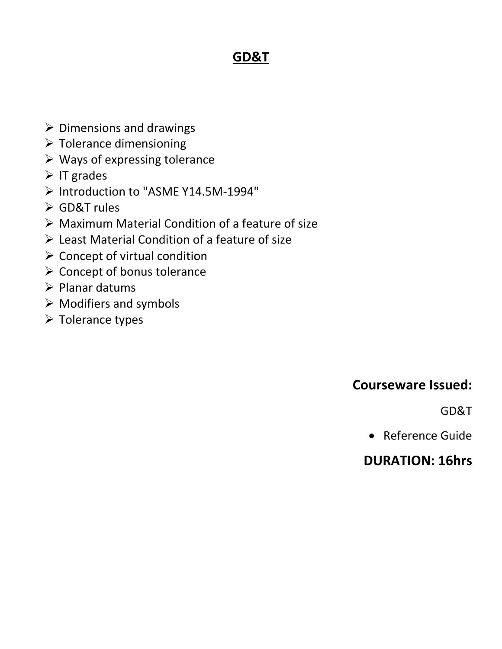### **GD&T**

- $\triangleright$  Dimensions and drawings
- $\triangleright$  Tolerance dimensioning
- $\triangleright$  Ways of expressing tolerance
- $\triangleright$  IT grades
- Introduction to "ASME Y14.5M-1994"
- GD&T rules
- $\triangleright$  Maximum Material Condition of a feature of size
- Least Material Condition of a feature of size
- $\triangleright$  Concept of virtual condition
- $\triangleright$  Concept of bonus tolerance
- $\triangleright$  Planar datums
- $\triangleright$  Modifiers and symbols
- $\triangleright$  Tolerance types

### **Courseware Issued:**

GD&T

Reference Guide

### **DURATION: 16hrs**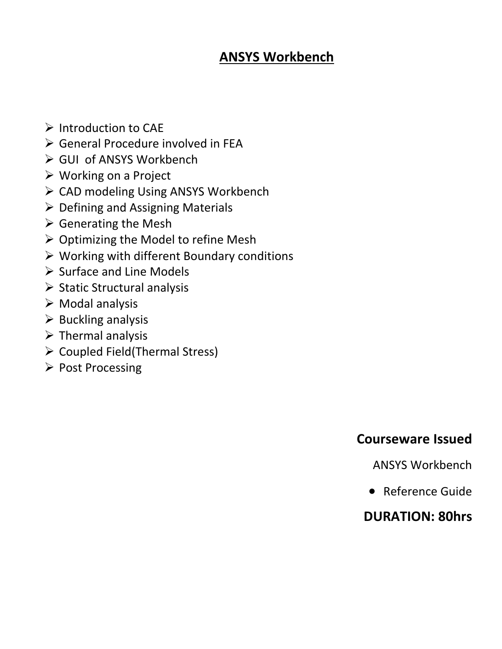### **ANSYS Workbench**

- $\triangleright$  Introduction to CAE
- General Procedure involved in FEA
- GUI of ANSYS Workbench
- Working on a Project
- ▶ CAD modeling Using ANSYS Workbench
- $\triangleright$  Defining and Assigning Materials
- $\triangleright$  Generating the Mesh
- $\triangleright$  Optimizing the Model to refine Mesh
- $\triangleright$  Working with different Boundary conditions
- $\triangleright$  Surface and Line Models
- $\triangleright$  Static Structural analysis
- $\triangleright$  Modal analysis
- $\triangleright$  Buckling analysis
- $\triangleright$  Thermal analysis
- $\triangleright$  Coupled Field(Thermal Stress)
- ▶ Post Processing

### **Courseware Issued**

ANSYS Workbench

Reference Guide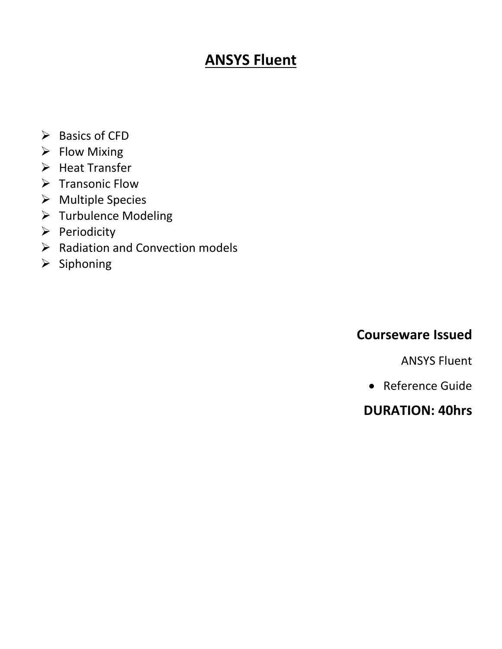## **ANSYS Fluent**

- $\triangleright$  Basics of CFD
- $\triangleright$  Flow Mixing
- $\triangleright$  Heat Transfer
- $\triangleright$  Transonic Flow
- Multiple Species
- > Turbulence Modeling
- $\triangleright$  Periodicity
- $\triangleright$  Radiation and Convection models
- $\triangleright$  Siphoning

#### **Courseware Issued**

ANSYS Fluent

Reference Guide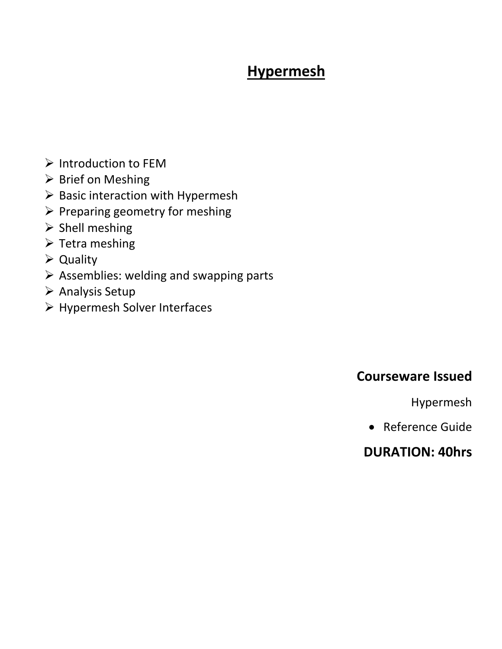# **Hypermesh**

- $\triangleright$  Introduction to FEM
- $\triangleright$  Brief on Meshing
- $\triangleright$  Basic interaction with Hypermesh
- $\triangleright$  Preparing geometry for meshing
- $\triangleright$  Shell meshing
- $\triangleright$  Tetra meshing
- Quality
- $\triangleright$  Assemblies: welding and swapping parts
- $\triangleright$  Analysis Setup
- Hypermesh Solver Interfaces

### **Courseware Issued**

Hypermesh

Reference Guide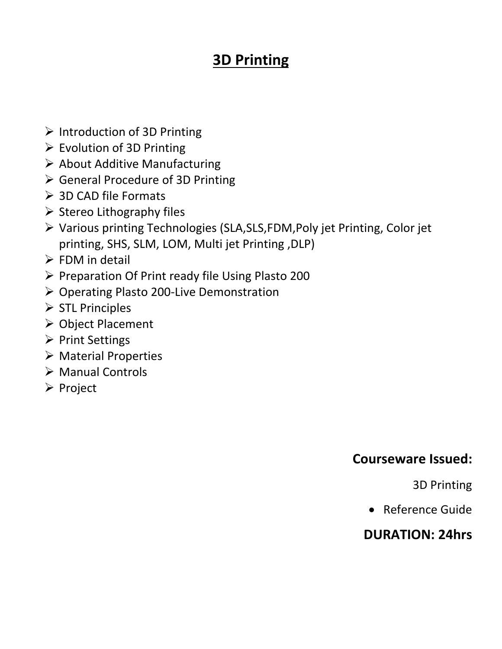## **3D Printing**

- $\triangleright$  Introduction of 3D Printing
- $\triangleright$  Evolution of 3D Printing
- $\triangleright$  About Additive Manufacturing
- General Procedure of 3D Printing
- > 3D CAD file Formats
- $\triangleright$  Stereo Lithography files
- Various printing Technologies (SLA,SLS,FDM,Poly jet Printing, Color jet printing, SHS, SLM, LOM, Multi jet Printing ,DLP)
- $\triangleright$  FDM in detail
- $\triangleright$  Preparation Of Print ready file Using Plasto 200
- ▶ Operating Plasto 200-Live Demonstration
- $\triangleright$  STL Principles
- Object Placement
- $\triangleright$  Print Settings
- Material Properties
- Manual Controls
- $\triangleright$  Project

### **Courseware Issued:**

3D Printing

Reference Guide